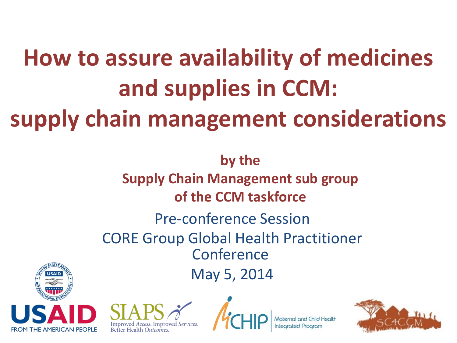### **How to assure availability of medicines and supplies in CCM: supply chain management considerations**

Pre-conference Session CORE Group Global Health Practitioner Conference May 5, 2014 **by the Supply Chain Management sub group of the CCM taskforce**







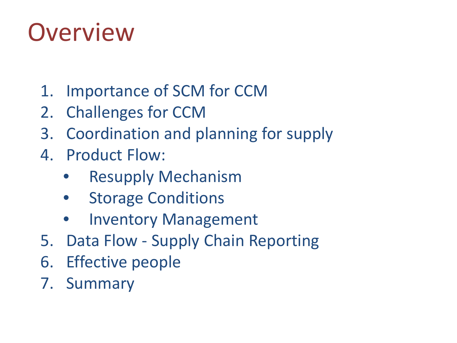#### **Overview**

- 1. Importance of SCM for CCM
- 2. Challenges for CCM
- 3. Coordination and planning for supply
- 4. Product Flow:
	- **Resupply Mechanism**
	- **Storage Conditions**
	- Inventory Management
- 5. Data Flow Supply Chain Reporting
- 6. Effective people
- 7. Summary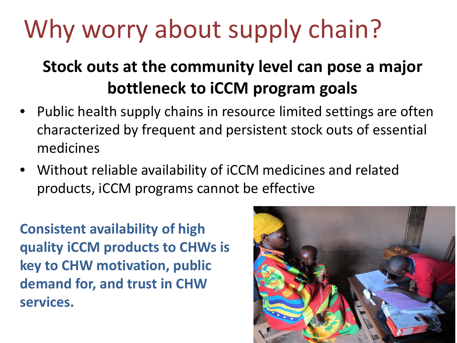# Why worry about supply chain?

#### **Stock outs at the community level can pose a major bottleneck to iCCM program goals**

- Public health supply chains in resource limited settings are often characterized by frequent and persistent stock outs of essential medicines
- Without reliable availability of iCCM medicines and related products, iCCM programs cannot be effective

**Consistent availability of high quality iCCM products to CHWs is key to CHW motivation, public demand for, and trust in CHW services.**

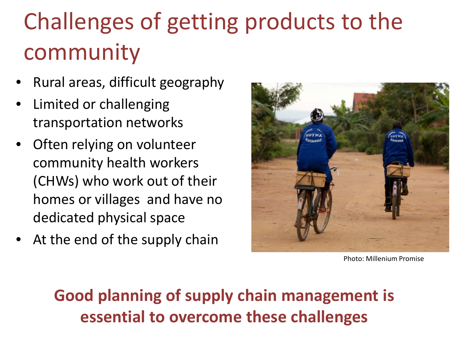#### Challenges of getting products to the community

- Rural areas, difficult geography
- Limited or challenging transportation networks
- Often relying on volunteer community health workers (CHWs) who work out of their homes or villages and have no dedicated physical space
- At the end of the supply chain



Photo: Millenium Promise

#### **Good planning of supply chain management is essential to overcome these challenges**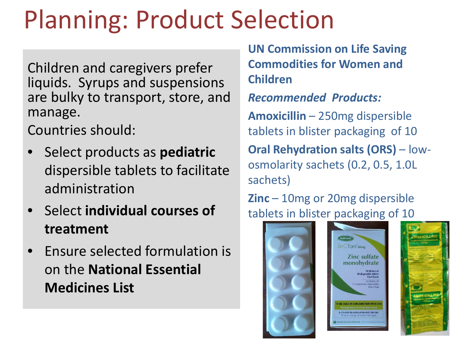### Planning: Product Selection

Children and caregivers prefer liquids. Syrups and suspensions are bulky to transport, store, and manage.

Countries should:

- Select products as **pediatric** dispersible tablets to facilitate administration
- Select **individual courses of treatment**
- Ensure selected formulation is on the **National Essential Medicines List**

**UN Commission on Life Saving Commodities for Women and Children**

*Recommended Products:*

**Amoxicillin** – 250mg dispersible tablets in blister packaging of 10

**Oral Rehydration salts (ORS)** – lowosmolarity sachets (0.2, 0.5, 1.0L sachets)

**Zinc** – 10mg or 20mg dispersible tablets in blister packaging of 10

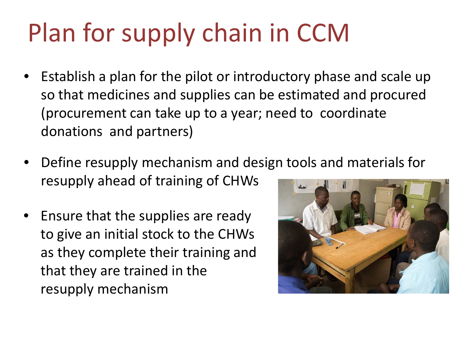# Plan for supply chain in CCM

- Establish a plan for the pilot or introductory phase and scale up so that medicines and supplies can be estimated and procured (procurement can take up to a year; need to coordinate donations and partners)
- Define resupply mechanism and design tools and materials for resupply ahead of training of CHWs
- Ensure that the supplies are ready to give an initial stock to the CHWs as they complete their training and that they are trained in the resupply mechanism

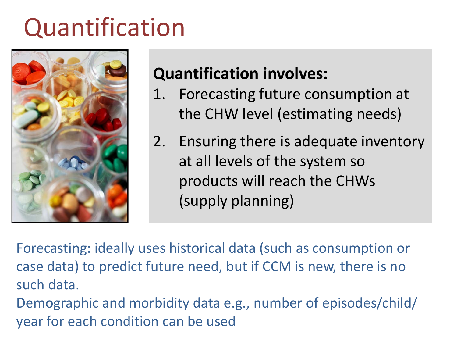#### Quantification



#### **Quantification involves:**

- 1. Forecasting future consumption at the CHW level (estimating needs)
- 2. Ensuring there is adequate inventory at all levels of the system so products will reach the CHWs (supply planning)

Forecasting: ideally uses historical data (such as consumption or case data) to predict future need, but if CCM is new, there is no such data.

Demographic and morbidity data e.g., number of episodes/child/ year for each condition can be used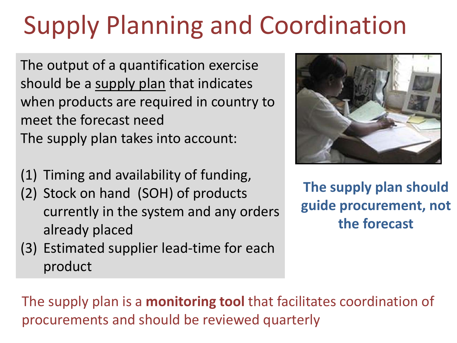# Supply Planning and Coordination

The output of a quantification exercise should be a supply plan that indicates when products are required in country to meet the forecast need The supply plan takes into account:

- (1) Timing and availability of funding,
- (2) Stock on hand (SOH) of products currently in the system and any orders already placed
- (3) Estimated supplier lead-time for each product



**The supply plan should guide procurement, not the forecast**

The supply plan is a **monitoring tool** that facilitates coordination of procurements and should be reviewed quarterly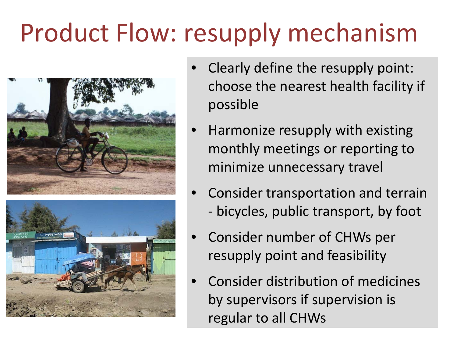## Product Flow: resupply mechanism





- Clearly define the resupply point: choose the nearest health facility if possible
- Harmonize resupply with existing monthly meetings or reporting to minimize unnecessary travel
- Consider transportation and terrain - bicycles, public transport, by foot
- Consider number of CHWs per resupply point and feasibility
- Consider distribution of medicines by supervisors if supervision is regular to all CHWs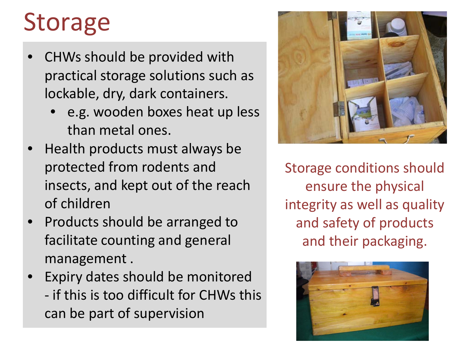#### Storage

- CHWs should be provided with practical storage solutions such as lockable, dry, dark containers.
	- e.g. wooden boxes heat up less than metal ones.
- Health products must always be protected from rodents and insects, and kept out of the reach of children
- Products should be arranged to facilitate counting and general management .
- Expiry dates should be monitored - if this is too difficult for CHWs this can be part of supervision



Storage conditions should ensure the physical integrity as well as quality and safety of products and their packaging.

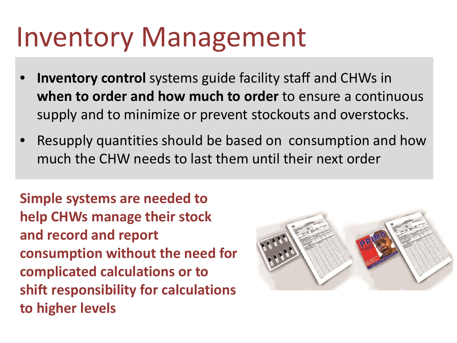### Inventory Management

- **Inventory control** systems guide facility staff and CHWs in **when to order and how much to order** to ensure a continuous supply and to minimize or prevent stockouts and overstocks.
- Resupply quantities should be based on consumption and how much the CHW needs to last them until their next order

**Simple systems are needed to help CHWs manage their stock and record and report consumption without the need for complicated calculations or to shift responsibility for calculations to higher levels** 

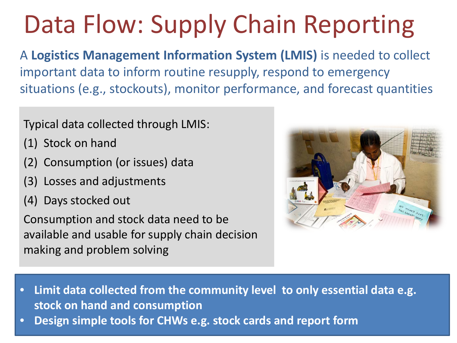# Data Flow: Supply Chain Reporting

A **Logistics Management Information System (LMIS)** is needed to collect important data to inform routine resupply, respond to emergency situations (e.g., stockouts), monitor performance, and forecast quantities

#### Typical data collected through LMIS:

- (1) Stock on hand
- (2) Consumption (or issues) data
- (3) Losses and adjustments
- (4) Days stocked out

Consumption and stock data need to be available and usable for supply chain decision making and problem solving



- **Limit data collected from the community level to only essential data e.g. stock on hand and consumption**
- **Design simple tools for CHWs e.g. stock cards and report form**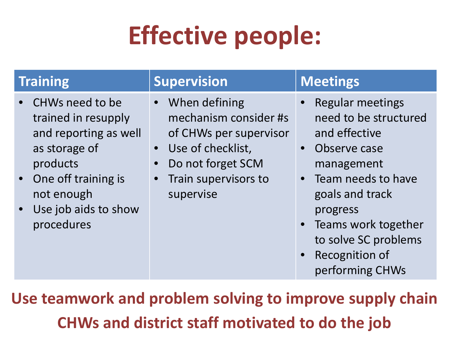# **Effective people:**

- CHWs need to be trained in resupply and reporting as well as storage of products
- One off training is not enough
- Use job aids to show procedures

#### **Training Supervision Meetings**

- When defining mechanism consider #s of CHWs per supervisor
- Use of checklist,
- Do not forget SCM
- Train supervisors to supervise

- Regular meetings need to be structured and effective
- Observe case management
- Team needs to have goals and track progress
- Teams work together to solve SC problems
- Recognition of performing CHWs

**Use teamwork and problem solving to improve supply chain CHWs and district staff motivated to do the job**